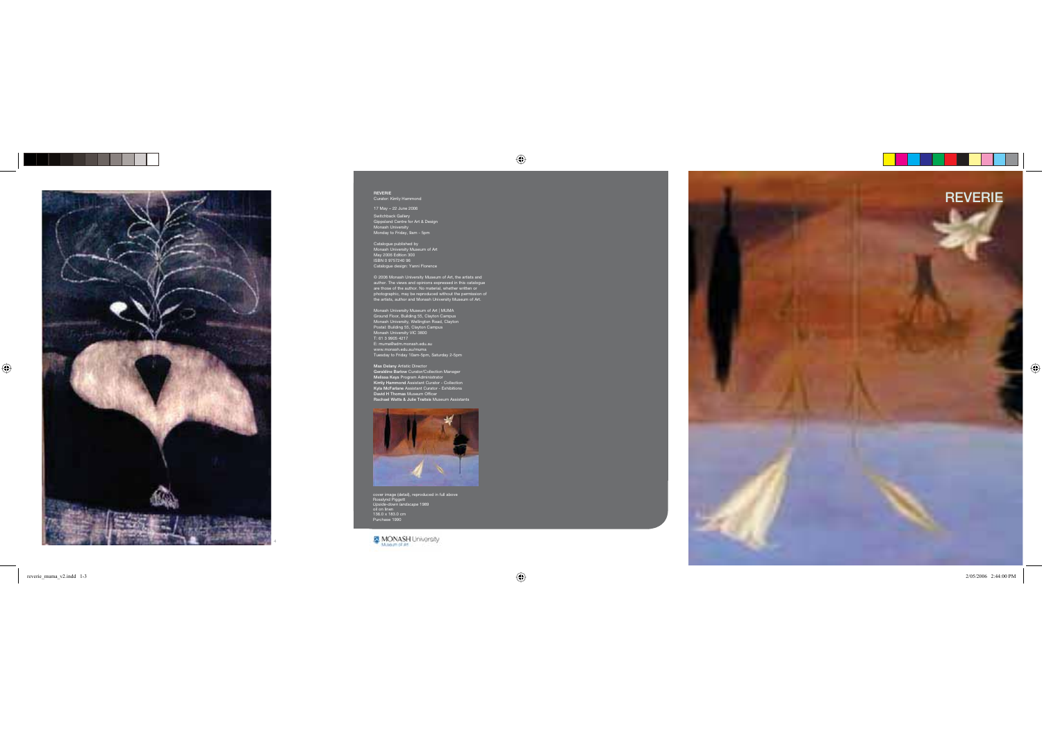

Switchback Gallery Gippsland Centre for Art & Design Monash University Monday to Friday, 9am - 5pm

Catalogue published by Monash University Museum of Art May 2006 Edition 300 ISBN 0 9757240 96 Catalogue design: Yanni Florence

© 2006 Monash University Museum of Art, the artists and author. The views and opinions expressed in this catalogue are those of the author. No material, whether written or photographic, may be reproduced without the permission of the artists, author and Monash University Museum of Art.

Monash University Museum of Art | MUMA Ground Floor, Building 55, Clayton Campus Monash University, Wellington Road, Clayton Postal: Building 55, Clayton Campus Monash University VIC 3800 T: 61 3 9905 4217 E: muma@adm.monash.edu.au www.monash.edu.au/muma Tuesday to Friday 10am-5pm, Saturday 2-5pm

Max Delany Artistic Director Geraldine Barlow Curator/Collection Manager Melissa Keys Program Administrator Kirrily Hammond Assistant Curator - Collection Kyla McFarlane Assistant Curator - Exhibitions David H Thomas Museum Officer



cover image (detail), reproduced in full above Rosslynd Piggott *Upside-down landscape* 1989 oil on linen 136.0 x 183.0 cm Purchase 1990

MONASH University



reverie\_muma\_v2.indd 1-3  $^{2005/2006}$  2:44:00 PM  $^{2005/2006}$  2:44:00 PM  $^{2005/2006}$  2:44:00 PM  $^{2005/2006}$  2:44:00 PM  $^{2005/2006}$  2:44:00 PM  $^{2005/2006}$  2:44:00 PM  $^{2005/2006}$  2:44:00 PM  $^{2005/2006}$  2:44:00

 $\bigoplus$ 

. . . .

 $\bigoplus$